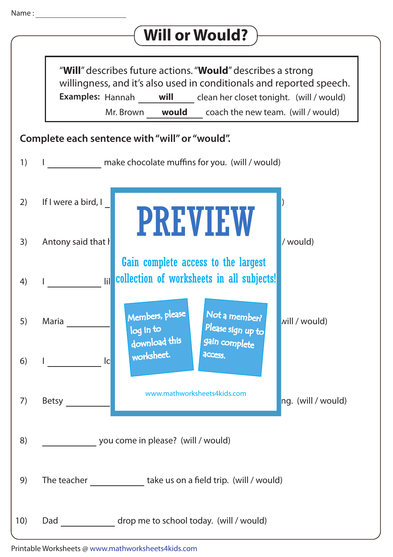